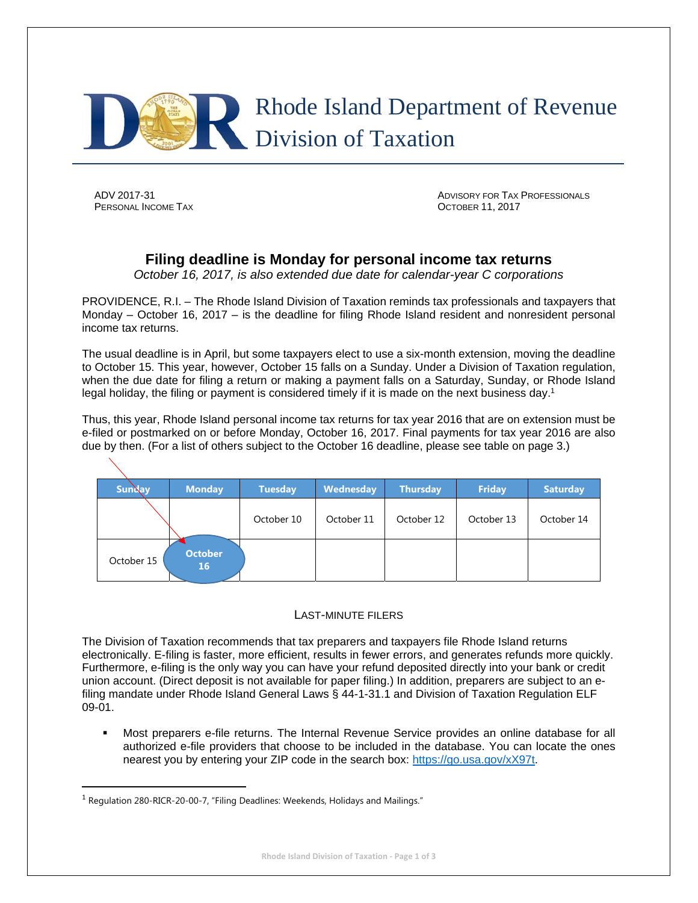

**PERSONAL INCOME TAX CONSUMING TAX CONSUMING TAX OCTOBER 11, 2017** 

ADV 2017-31 ADVISORY FOR TAX PROFESSIONALS

# **Filing deadline is Monday for personal income tax returns**

*October 16, 2017, is also extended due date for calendar-year C corporations*

PROVIDENCE, R.I. – The Rhode Island Division of Taxation reminds tax professionals and taxpayers that Monday – October 16, 2017 – is the deadline for filing Rhode Island resident and nonresident personal income tax returns.

The usual deadline is in April, but some taxpayers elect to use a six-month extension, moving the deadline to October 15. This year, however, October 15 falls on a Sunday. Under a Division of Taxation regulation, when the due date for filing a return or making a payment falls on a Saturday, Sunday, or Rhode Island legal holiday, the filing or payment is considered timely if it is made on the next business day.<sup>1</sup>

Thus, this year, Rhode Island personal income tax returns for tax year 2016 that are on extension must be e-filed or postmarked on or before Monday, October 16, 2017. Final payments for tax year 2016 are also due by then. (For a list of others subject to the October 16 deadline, please see table on page 3.)

| <b>Sunday</b> | <b>Monday</b>               | <b>Tuesday</b> | Wednesday  | <b>Thursday</b> | <b>Friday</b> | <b>Saturday</b> |
|---------------|-----------------------------|----------------|------------|-----------------|---------------|-----------------|
|               |                             | October 10     | October 11 | October 12      | October 13    | October 14      |
| October 15    | <b>October</b><br><b>16</b> |                |            |                 |               |                 |

### LAST-MINUTE FILERS

The Division of Taxation recommends that tax preparers and taxpayers file Rhode Island returns electronically. E-filing is faster, more efficient, results in fewer errors, and generates refunds more quickly. Furthermore, e-filing is the only way you can have your refund deposited directly into your bank or credit union account. (Direct deposit is not available for paper filing.) In addition, preparers are subject to an efiling mandate under Rhode Island General Laws § 44-1-31.1 and Division of Taxation Regulation ELF 09-01.

 Most preparers e-file returns. The Internal Revenue Service provides an online database for all authorized e-file providers that choose to be included in the database. You can locate the ones nearest you by entering your ZIP code in the search box: https://go.usa.gov/xX97t.

<sup>1</sup> Regulation 280-RICR-20-00-7, "Filing Deadlines: Weekends, Holidays and Mailings."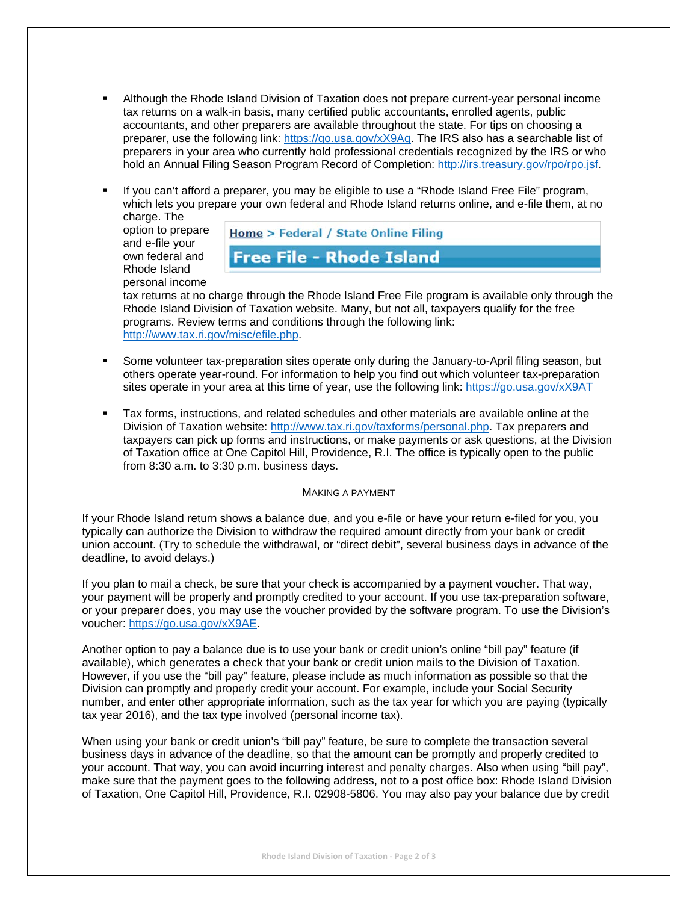- Although the Rhode Island Division of Taxation does not prepare current-year personal income tax returns on a walk-in basis, many certified public accountants, enrolled agents, public accountants, and other preparers are available throughout the state. For tips on choosing a preparer, use the following link: https://go.usa.gov/xX9Aq. The IRS also has a searchable list of preparers in your area who currently hold professional credentials recognized by the IRS or who hold an Annual Filing Season Program Record of Completion: http://irs.treasury.gov/rpo/rpo.jsf.
- If you can't afford a preparer, you may be eligible to use a "Rhode Island Free File" program, which lets you prepare your own federal and Rhode Island returns online, and e-file them, at no charge. The

option to prepare and e-file your own federal and Rhode Island personal income

# **Home > Federal / State Online Filing**

## **Free File - Rhode Island**

tax returns at no charge through the Rhode Island Free File program is available only through the Rhode Island Division of Taxation website. Many, but not all, taxpayers qualify for the free programs. Review terms and conditions through the following link: http://www.tax.ri.gov/misc/efile.php.

- Some volunteer tax-preparation sites operate only during the January-to-April filing season, but others operate year-round. For information to help you find out which volunteer tax-preparation sites operate in your area at this time of year, use the following link: https://go.usa.gov/xX9AT
- Tax forms, instructions, and related schedules and other materials are available online at the Division of Taxation website: http://www.tax.ri.gov/taxforms/personal.php. Tax preparers and taxpayers can pick up forms and instructions, or make payments or ask questions, at the Division of Taxation office at One Capitol Hill, Providence, R.I. The office is typically open to the public from 8:30 a.m. to 3:30 p.m. business days.

#### MAKING A PAYMENT

If your Rhode Island return shows a balance due, and you e-file or have your return e-filed for you, you typically can authorize the Division to withdraw the required amount directly from your bank or credit union account. (Try to schedule the withdrawal, or "direct debit", several business days in advance of the deadline, to avoid delays.)

If you plan to mail a check, be sure that your check is accompanied by a payment voucher. That way, your payment will be properly and promptly credited to your account. If you use tax-preparation software, or your preparer does, you may use the voucher provided by the software program. To use the Division's voucher: https://go.usa.gov/xX9AE.

Another option to pay a balance due is to use your bank or credit union's online "bill pay" feature (if available), which generates a check that your bank or credit union mails to the Division of Taxation. However, if you use the "bill pay" feature, please include as much information as possible so that the Division can promptly and properly credit your account. For example, include your Social Security number, and enter other appropriate information, such as the tax year for which you are paying (typically tax year 2016), and the tax type involved (personal income tax).

When using your bank or credit union's "bill pay" feature, be sure to complete the transaction several business days in advance of the deadline, so that the amount can be promptly and properly credited to your account. That way, you can avoid incurring interest and penalty charges. Also when using "bill pay", make sure that the payment goes to the following address, not to a post office box: Rhode Island Division of Taxation, One Capitol Hill, Providence, R.I. 02908-5806. You may also pay your balance due by credit